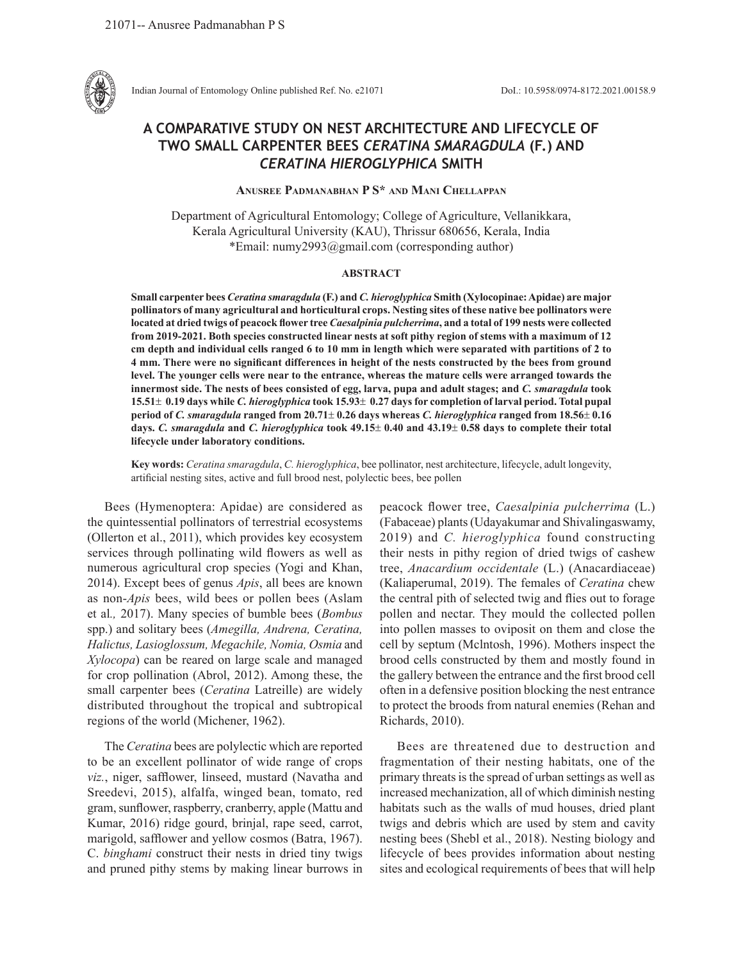

Indian Journal of Entomology Online published Ref. No. e21071 DoI.: 10.5958/0974-8172.2021.00158.9

# **A COMPARATIVE STUDY ON NEST ARCHITECTURE AND LIFECYCLE OF TWO SMALL CARPENTER BEES** *CERATINA SMARAGDULA* **(F.) AND**  *CERATINA HIEROGLYPHICA* **SMITH**

**Anusree Padmanabhan P S\* and Mani Chellappan**

Department of Agricultural Entomology; College of Agriculture, Vellanikkara, Kerala Agricultural University (KAU), Thrissur 680656, Kerala, India \*Email: numy2993@gmail.com (corresponding author)

## **ABSTRACT**

**Small carpenter bees** *Ceratina smaragdula* **(F.) and** *C. hieroglyphica* **Smith (Xylocopinae: Apidae) are major pollinators of many agricultural and horticultural crops. Nesting sites of these native bee pollinators were located at dried twigs of peacock flower tree** *Caesalpinia pulcherrima***, and a total of 199 nests were collected from 2019-2021. Both species constructed linear nests at soft pithy region of stems with a maximum of 12 cm depth and individual cells ranged 6 to 10 mm in length which were separated with partitions of 2 to 4 mm. There were no significant differences in height of the nests constructed by the bees from ground level. The younger cells were near to the entrance, whereas the mature cells were arranged towards the innermost side. The nests of bees consisted of egg, larva, pupa and adult stages; and** *C. smaragdula* **took 15.51**± **0.19 days while** *C. hieroglyphica* **took 15.93**± **0.27 days for completion of larval period. Total pupal period of** *C. smaragdula* **ranged from 20.71**± **0.26 days whereas** *C. hieroglyphica* **ranged from 18.56**± **0.16 days.** *C. smaragdula* **and** *C. hieroglyphica* **took 49.15**± **0.40 and 43.19**± **0.58 days to complete their total lifecycle under laboratory conditions.** 

**Key words:** *Ceratina smaragdula*, *C. hieroglyphica*, bee pollinator, nest architecture, lifecycle, adult longevity, artificial nesting sites, active and full brood nest, polylectic bees, bee pollen

Bees (Hymenoptera: Apidae) are considered as the quintessential pollinators of terrestrial ecosystems (Ollerton et al., 2011), which provides key ecosystem services through pollinating wild flowers as well as numerous agricultural crop species (Yogi and Khan, 2014). Except bees of genus *Apis*, all bees are known as non-*Apis* bees, wild bees or pollen bees (Aslam et al*.,* 2017). Many species of bumble bees (*Bombus* spp.) and solitary bees (*Amegilla, Andrena, Ceratina, Halictus, Lasioglossum, Megachile, Nomia, Osmia* and *Xylocopa*) can be reared on large scale and managed for crop pollination (Abrol, 2012). Among these, the small carpenter bees (*Ceratina* Latreille) are widely distributed throughout the tropical and subtropical regions of the world (Michener, 1962).

The *Ceratina* bees are polylectic which are reported to be an excellent pollinator of wide range of crops *viz.*, niger, safflower, linseed, mustard (Navatha and Sreedevi, 2015), alfalfa, winged bean, tomato, red gram, sunflower, raspberry, cranberry, apple (Mattu and Kumar, 2016) ridge gourd, brinjal, rape seed, carrot, marigold, safflower and yellow cosmos (Batra, 1967). C. *binghami* construct their nests in dried tiny twigs and pruned pithy stems by making linear burrows in peacock flower tree, *Caesalpinia pulcherrima* (L.) (Fabaceae) plants (Udayakumar and Shivalingaswamy, 2019) and *C. hieroglyphica* found constructing their nests in pithy region of dried twigs of cashew tree, *Anacardium occidentale* (L.) (Anacardiaceae) (Kaliaperumal, 2019). The females of *Ceratina* chew the central pith of selected twig and flies out to forage pollen and nectar. They mould the collected pollen into pollen masses to oviposit on them and close the cell by septum (Mclntosh, 1996). Mothers inspect the brood cells constructed by them and mostly found in the gallery between the entrance and the first brood cell often in a defensive position blocking the nest entrance to protect the broods from natural enemies (Rehan and Richards, 2010).

Bees are threatened due to destruction and fragmentation of their nesting habitats, one of the primary threats is the spread of urban settings as well as increased mechanization, all of which diminish nesting habitats such as the walls of mud houses, dried plant twigs and debris which are used by stem and cavity nesting bees (Shebl et al., 2018). Nesting biology and lifecycle of bees provides information about nesting sites and ecological requirements of bees that will help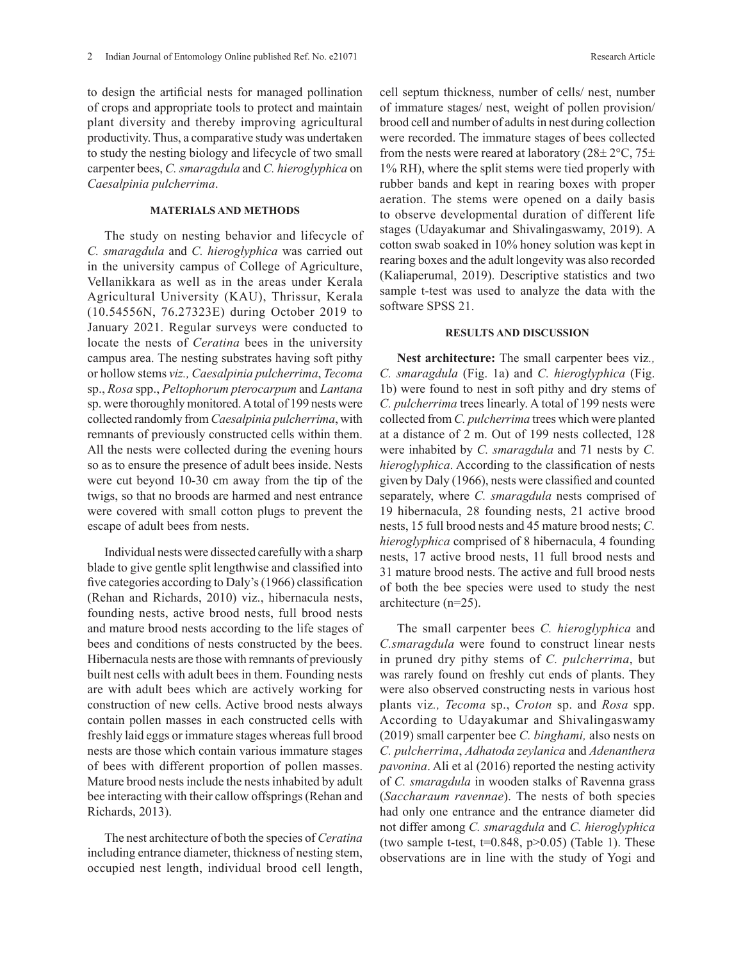to design the artificial nests for managed pollination of crops and appropriate tools to protect and maintain plant diversity and thereby improving agricultural productivity. Thus, a comparative study was undertaken to study the nesting biology and lifecycle of two small carpenter bees, *C. smaragdula* and *C. hieroglyphica* on *Caesalpinia pulcherrima*.

## **MATERIALS AND METHODS**

The study on nesting behavior and lifecycle of *C. smaragdula* and *C. hieroglyphica* was carried out in the university campus of College of Agriculture, Vellanikkara as well as in the areas under Kerala Agricultural University (KAU), Thrissur, Kerala (10.54556N, 76.27323E) during October 2019 to January 2021. Regular surveys were conducted to locate the nests of *Ceratina* bees in the university campus area. The nesting substrates having soft pithy or hollow stems *viz., Caesalpinia pulcherrima*, *Tecoma* sp., *Rosa* spp., *Peltophorum pterocarpum* and *Lantana*  sp. were thoroughly monitored. A total of 199 nests were collected randomly from *Caesalpinia pulcherrima*, with remnants of previously constructed cells within them. All the nests were collected during the evening hours so as to ensure the presence of adult bees inside. Nests were cut beyond 10-30 cm away from the tip of the twigs, so that no broods are harmed and nest entrance were covered with small cotton plugs to prevent the escape of adult bees from nests.

Individual nests were dissected carefully with a sharp blade to give gentle split lengthwise and classified into five categories according to Daly's (1966) classification (Rehan and Richards, 2010) viz., hibernacula nests, founding nests, active brood nests, full brood nests and mature brood nests according to the life stages of bees and conditions of nests constructed by the bees. Hibernacula nests are those with remnants of previously built nest cells with adult bees in them. Founding nests are with adult bees which are actively working for construction of new cells. Active brood nests always contain pollen masses in each constructed cells with freshly laid eggs or immature stages whereas full brood nests are those which contain various immature stages of bees with different proportion of pollen masses. Mature brood nests include the nests inhabited by adult bee interacting with their callow offsprings (Rehan and Richards, 2013).

The nest architecture of both the species of *Ceratina* including entrance diameter, thickness of nesting stem, occupied nest length, individual brood cell length, cell septum thickness, number of cells/ nest, number of immature stages/ nest, weight of pollen provision/ brood cell and number of adults in nest during collection were recorded. The immature stages of bees collected from the nests were reared at laboratory  $(28\pm 2^{\circ}C, 75\pm 1)$ 1% RH), where the split stems were tied properly with rubber bands and kept in rearing boxes with proper aeration. The stems were opened on a daily basis to observe developmental duration of different life stages (Udayakumar and Shivalingaswamy, 2019). A cotton swab soaked in 10% honey solution was kept in rearing boxes and the adult longevity was also recorded (Kaliaperumal, 2019). Descriptive statistics and two sample t-test was used to analyze the data with the software SPSS 21.

## **RESULTS AND DISCUSSION**

**Nest architecture:** The small carpenter bees viz*., C. smaragdula* (Fig. 1a) and *C. hieroglyphica* (Fig. 1b) were found to nest in soft pithy and dry stems of *C. pulcherrima* trees linearly. A total of 199 nests were collected from *C. pulcherrima* trees which were planted at a distance of 2 m. Out of 199 nests collected, 128 were inhabited by *C. smaragdula* and 71 nests by *C. hieroglyphica*. According to the classification of nests given by Daly (1966), nests were classified and counted separately, where *C. smaragdula* nests comprised of 19 hibernacula, 28 founding nests, 21 active brood nests, 15 full brood nests and 45 mature brood nests; *C. hieroglyphica* comprised of 8 hibernacula, 4 founding nests, 17 active brood nests, 11 full brood nests and 31 mature brood nests. The active and full brood nests of both the bee species were used to study the nest architecture (n=25).

The small carpenter bees *C. hieroglyphica* and *C.smaragdula* were found to construct linear nests in pruned dry pithy stems of *C. pulcherrima*, but was rarely found on freshly cut ends of plants. They were also observed constructing nests in various host plants viz*., Tecoma* sp., *Croton* sp. and *Rosa* spp. According to Udayakumar and Shivalingaswamy (2019) small carpenter bee *C. binghami,* also nests on *C. pulcherrima*, *Adhatoda zeylanica* and *Adenanthera pavonina*. Ali et al (2016) reported the nesting activity of *C. smaragdula* in wooden stalks of Ravenna grass (*Saccharaum ravennae*). The nests of both species had only one entrance and the entrance diameter did not differ among *C. smaragdula* and *C. hieroglyphica* (two sample t-test,  $t=0.848$ ,  $p>0.05$ ) (Table 1). These observations are in line with the study of Yogi and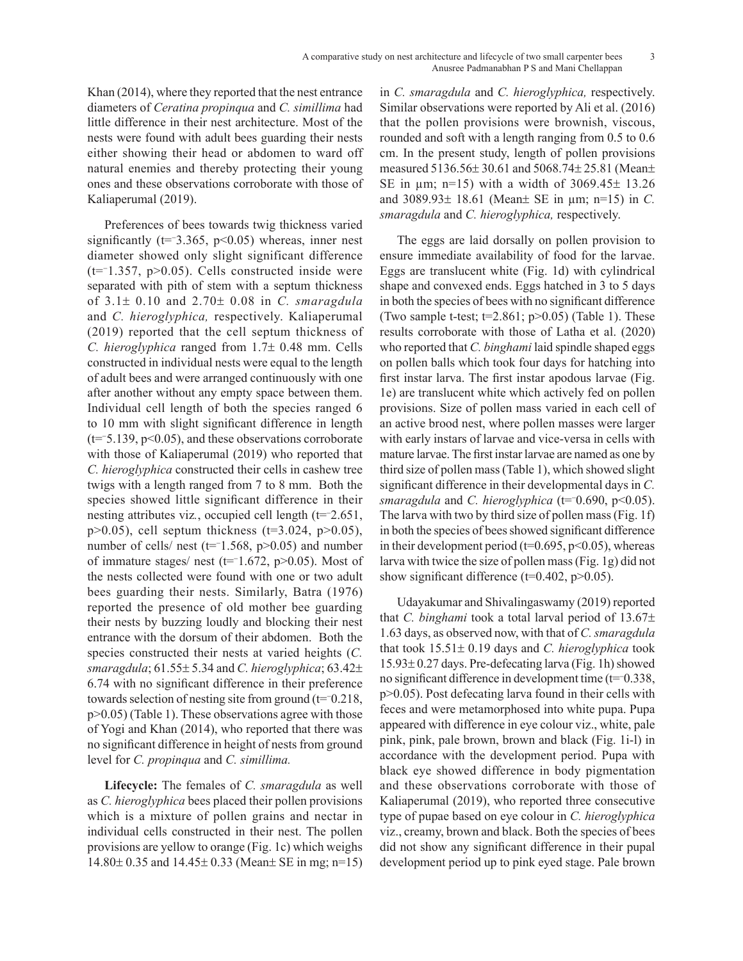Khan (2014), where they reported that the nest entrance diameters of *Ceratina propinqua* and *C. simillima* had little difference in their nest architecture. Most of the nests were found with adult bees guarding their nests either showing their head or abdomen to ward off natural enemies and thereby protecting their young ones and these observations corroborate with those of Kaliaperumal (2019).

Preferences of bees towards twig thickness varied significantly (t=−3.365, p<0.05) whereas, inner nest diameter showed only slight significant difference (t=<sup>−</sup>1.357, p>0.05). Cells constructed inside were separated with pith of stem with a septum thickness of 3.1± 0.10 and 2.70± 0.08 in *C. smaragdula* and *C. hieroglyphica,* respectively. Kaliaperumal (2019) reported that the cell septum thickness of *C. hieroglyphica* ranged from 1.7± 0.48 mm. Cells constructed in individual nests were equal to the length of adult bees and were arranged continuously with one after another without any empty space between them. Individual cell length of both the species ranged 6 to 10 mm with slight significant difference in length (t=<sup>−</sup> 5.139, p<0.05), and these observations corroborate with those of Kaliaperumal (2019) who reported that *C. hieroglyphica* constructed their cells in cashew tree twigs with a length ranged from 7 to 8 mm. Both the species showed little significant difference in their nesting attributes viz*.*, occupied cell length (t=<sup>−</sup> 2.651, p $>0.05$ ), cell septum thickness (t=3.024, p $>0.05$ ), number of cells/ nest ( $t=1.568$ ,  $p>0.05$ ) and number of immature stages/ nest (t=<sup>−</sup> 1.672, p>0.05). Most of the nests collected were found with one or two adult bees guarding their nests. Similarly, Batra (1976) reported the presence of old mother bee guarding their nests by buzzing loudly and blocking their nest entrance with the dorsum of their abdomen. Both the species constructed their nests at varied heights (*C. smaragdula*; 61.55± 5.34 and *C. hieroglyphica*; 63.42± 6.74 with no significant difference in their preference towards selection of nesting site from ground (t=<sup>−</sup> 0.218, p>0.05) (Table 1). These observations agree with those of Yogi and Khan (2014), who reported that there was no significant difference in height of nests from ground level for *C. propinqua* and *C. simillima.*

**Lifecycle:** The females of *C. smaragdula* as well as *C. hieroglyphica* bees placed their pollen provisions which is a mixture of pollen grains and nectar in individual cells constructed in their nest. The pollen provisions are yellow to orange (Fig. 1c) which weighs 14.80± 0.35 and 14.45± 0.33 (Mean± SE in mg; n=15) in *C. smaragdula* and *C. hieroglyphica,* respectively. Similar observations were reported by Ali et al. (2016) that the pollen provisions were brownish, viscous, rounded and soft with a length ranging from 0.5 to 0.6 cm. In the present study, length of pollen provisions measured 5136.56± 30.61 and 5068.74± 25.81 (Mean± SE in  $\mu$ m; n=15) with a width of 3069.45 $\pm$  13.26 and 3089.93± 18.61 (Mean± SE in µm; n=15) in *C. smaragdula* and *C. hieroglyphica,* respectively.

The eggs are laid dorsally on pollen provision to ensure immediate availability of food for the larvae. Eggs are translucent white (Fig. 1d) with cylindrical shape and convexed ends. Eggs hatched in 3 to 5 days in both the species of bees with no significant difference (Two sample t-test;  $t=2.861$ ;  $p>0.05$ ) (Table 1). These results corroborate with those of Latha et al. (2020) who reported that *C. binghami* laid spindle shaped eggs on pollen balls which took four days for hatching into first instar larva. The first instar apodous larvae (Fig. 1e) are translucent white which actively fed on pollen provisions. Size of pollen mass varied in each cell of an active brood nest, where pollen masses were larger with early instars of larvae and vice-versa in cells with mature larvae. The first instar larvae are named as one by third size of pollen mass (Table 1), which showed slight significant difference in their developmental days in *C. smaragdula* and *C. hieroglyphica* (t=<sup>−</sup> 0.690, p<0.05). The larva with two by third size of pollen mass (Fig. 1f) in both the species of bees showed significant difference in their development period ( $t=0.695$ ,  $p<0.05$ ), whereas larva with twice the size of pollen mass (Fig. 1g) did not show significant difference ( $t=0.402$ ,  $p>0.05$ ).

Udayakumar and Shivalingaswamy (2019) reported that *C. binghami* took a total larval period of 13.67± 1.63 days, as observed now, with that of *C. smaragdula* that took 15.51± 0.19 days and *C. hieroglyphica* took 15.93± 0.27 days. Pre-defecating larva (Fig. 1h) showed no significant difference in development time (t=<sup>−</sup> 0.338, p>0.05). Post defecating larva found in their cells with feces and were metamorphosed into white pupa. Pupa appeared with difference in eye colour viz., white, pale pink, pink, pale brown, brown and black (Fig. 1i-l) in accordance with the development period. Pupa with black eye showed difference in body pigmentation and these observations corroborate with those of Kaliaperumal (2019), who reported three consecutive type of pupae based on eye colour in *C. hieroglyphica* viz., creamy, brown and black. Both the species of bees did not show any significant difference in their pupal development period up to pink eyed stage. Pale brown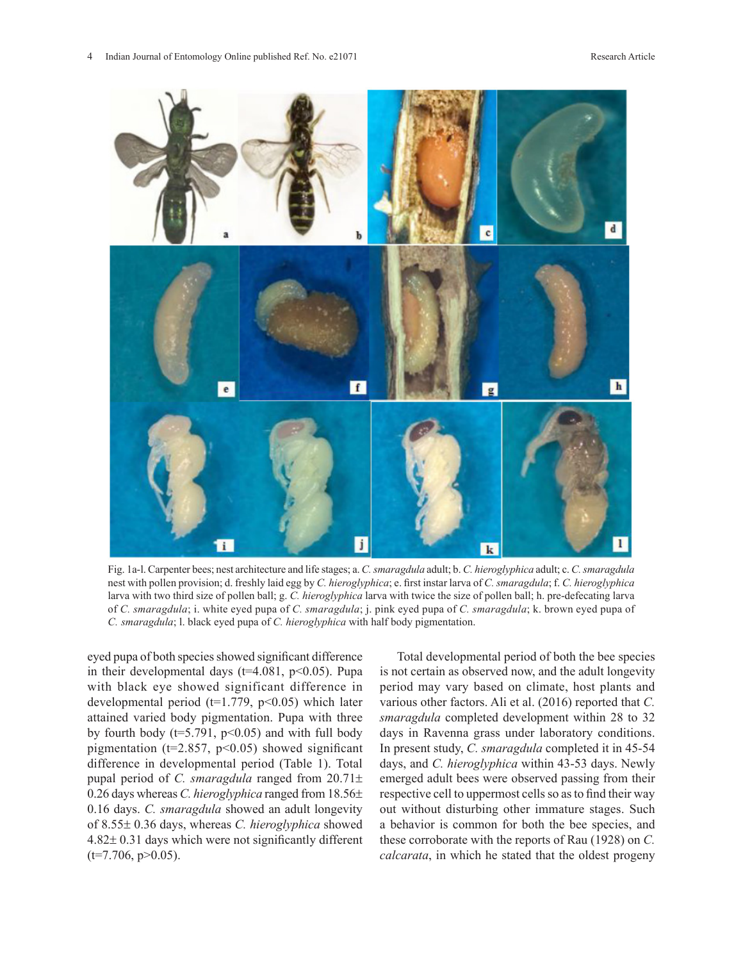

Fig. 1a-l. Carpenter bees; nest architecture and life stages; a. *C. smaragdula* adult; b. *C. hieroglyphica* adult; c. *C. smaragdula* nest with pollen provision; d. freshly laid egg by *C. hieroglyphica*; e. first instar larva of *C. smaragdula*; f. *C. hieroglyphica* larva with two third size of pollen ball; g. *C. hieroglyphica* larva with twice the size of pollen ball; h. pre-defecating larva of *C. smaragdula*; i. white eyed pupa of *C. smaragdula*; j. pink eyed pupa of *C. smaragdula*; k. brown eyed pupa of *C. smaragdula*; l. black eyed pupa of *C. hieroglyphica* with half body pigmentation.

eyed pupa of both species showed significant difference in their developmental days ( $t=4.081$ ,  $p<0.05$ ). Pupa with black eye showed significant difference in developmental period ( $t=1.779$ ,  $p<0.05$ ) which later attained varied body pigmentation. Pupa with three by fourth body ( $t=5.791$ ,  $p<0.05$ ) and with full body pigmentation ( $t=2.857$ ,  $p<0.05$ ) showed significant difference in developmental period (Table 1). Total pupal period of *C. smaragdula* ranged from 20.71± 0.26 days whereas *C. hieroglyphica* ranged from 18.56± 0.16 days. *C. smaragdula* showed an adult longevity of 8.55± 0.36 days, whereas *C. hieroglyphica* showed 4.82± 0.31 days which were not significantly different  $(t=7.706, p>0.05)$ .

Total developmental period of both the bee species is not certain as observed now, and the adult longevity period may vary based on climate, host plants and various other factors. Ali et al. (2016) reported that *C. smaragdula* completed development within 28 to 32 days in Ravenna grass under laboratory conditions. In present study, *C. smaragdula* completed it in 45-54 days, and *C. hieroglyphica* within 43-53 days. Newly emerged adult bees were observed passing from their respective cell to uppermost cells so as to find their way out without disturbing other immature stages. Such a behavior is common for both the bee species, and these corroborate with the reports of Rau (1928) on *C. calcarata*, in which he stated that the oldest progeny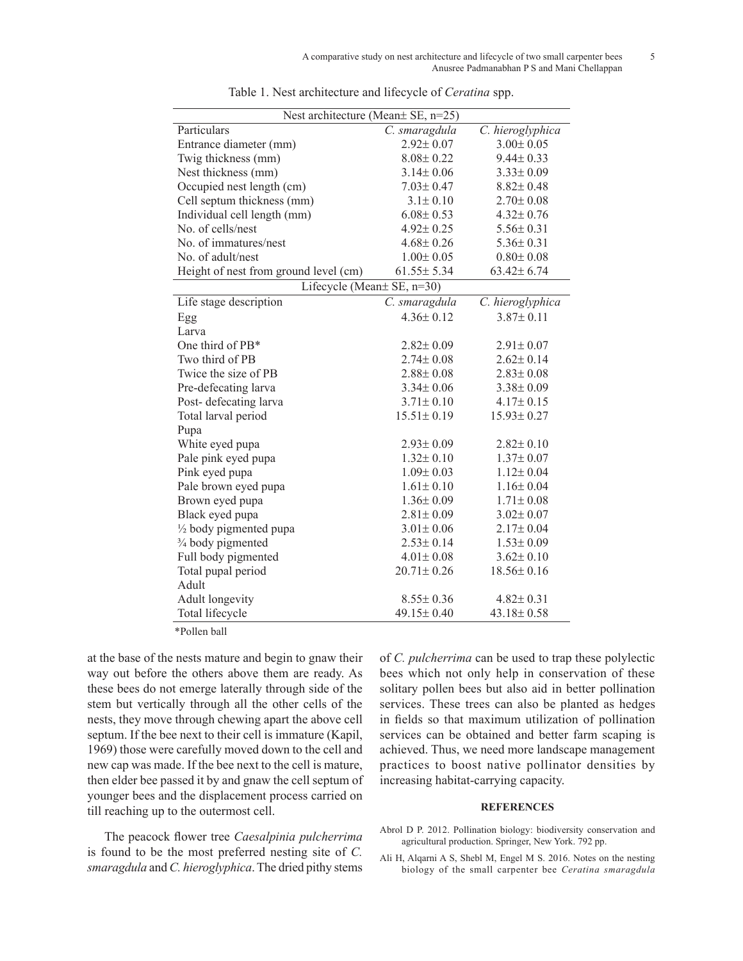| Nest architecture (Mean ± SE, n=25)   |                  |                  |
|---------------------------------------|------------------|------------------|
| Particulars                           | C. smaragdula    | C. hieroglyphica |
| Entrance diameter (mm)                | $2.92 \pm 0.07$  | $3.00 \pm 0.05$  |
| Twig thickness (mm)                   | $8.08 \pm 0.22$  | $9.44 \pm 0.33$  |
| Nest thickness (mm)                   | $3.14 \pm 0.06$  | $3.33 \pm 0.09$  |
| Occupied nest length (cm)             | $7.03 \pm 0.47$  | $8.82 \pm 0.48$  |
| Cell septum thickness (mm)            | $3.1 \pm 0.10$   | $2.70 \pm 0.08$  |
| Individual cell length (mm)           | $6.08 \pm 0.53$  | $4.32 \pm 0.76$  |
| No. of cells/nest                     | $4.92 \pm 0.25$  | $5.56 \pm 0.31$  |
| No. of immatures/nest                 | $4.68 \pm 0.26$  | $5.36 \pm 0.31$  |
| No. of adult/nest                     | $1.00 \pm 0.05$  | $0.80 \pm 0.08$  |
| Height of nest from ground level (cm) | $61.55 \pm 5.34$ | $63.42 \pm 6.74$ |
| Lifecycle (Mean± SE, n=30)            |                  |                  |
| Life stage description                | C. smaragdula    | C. hieroglyphica |
| Egg                                   | $4.36 \pm 0.12$  | $3.87 \pm 0.11$  |
| Larva                                 |                  |                  |
| One third of PB*                      | $2.82 \pm 0.09$  | $2.91 \pm 0.07$  |
| Two third of PB                       | $2.74 \pm 0.08$  | $2.62 \pm 0.14$  |
| Twice the size of PB                  | $2.88 \pm 0.08$  | $2.83 \pm 0.08$  |
| Pre-defecating larva                  | $3.34 \pm 0.06$  | $3.38 \pm 0.09$  |
| Post-defecating larva                 | $3.71 \pm 0.10$  | $4.17 \pm 0.15$  |
| Total larval period                   | $15.51 \pm 0.19$ | $15.93 \pm 0.27$ |
| Pupa                                  |                  |                  |
| White eyed pupa                       | $2.93 \pm 0.09$  | $2.82 \pm 0.10$  |
| Pale pink eyed pupa                   | $1.32 \pm 0.10$  | $1.37 \pm 0.07$  |
| Pink eyed pupa                        | $1.09 \pm 0.03$  | $1.12 \pm 0.04$  |
| Pale brown eyed pupa                  | $1.61 \pm 0.10$  | $1.16 \pm 0.04$  |
| Brown eyed pupa                       | $1.36 \pm 0.09$  | $1.71 \pm 0.08$  |
| Black eyed pupa                       | $2.81 \pm 0.09$  | $3.02 \pm 0.07$  |
| 1/2 body pigmented pupa               | $3.01 \pm 0.06$  | $2.17 \pm 0.04$  |
| 3/4 body pigmented                    | $2.53 \pm 0.14$  | $1.53 \pm 0.09$  |
| Full body pigmented                   | $4.01 \pm 0.08$  | $3.62 \pm 0.10$  |
| Total pupal period                    | $20.71 \pm 0.26$ | $18.56 \pm 0.16$ |
| Adult                                 |                  |                  |
| Adult longevity                       | $8.55 \pm 0.36$  | $4.82 \pm 0.31$  |
| Total lifecycle                       | 49.15±0.40       | $43.18 \pm 0.58$ |

Table 1. Nest architecture and lifecycle of *Ceratina* spp.

\*Pollen ball

at the base of the nests mature and begin to gnaw their way out before the others above them are ready. As these bees do not emerge laterally through side of the stem but vertically through all the other cells of the nests, they move through chewing apart the above cell septum. If the bee next to their cell is immature (Kapil, 1969) those were carefully moved down to the cell and new cap was made. If the bee next to the cell is mature, then elder bee passed it by and gnaw the cell septum of younger bees and the displacement process carried on till reaching up to the outermost cell.

The peacock flower tree *Caesalpinia pulcherrima* is found to be the most preferred nesting site of *C. smaragdula* and *C. hieroglyphica*. The dried pithy stems

of *C. pulcherrima* can be used to trap these polylectic bees which not only help in conservation of these solitary pollen bees but also aid in better pollination services. These trees can also be planted as hedges in fields so that maximum utilization of pollination services can be obtained and better farm scaping is achieved. Thus, we need more landscape management practices to boost native pollinator densities by increasing habitat-carrying capacity.

## **REFERENCES**

- Abrol D P. 2012. Pollination biology: biodiversity conservation and agricultural production. Springer, New York. 792 pp.
- Ali H, Alqarni A S, Shebl M, Engel M S. 2016. Notes on the nesting biology of the small carpenter bee *Ceratina smaragdula*